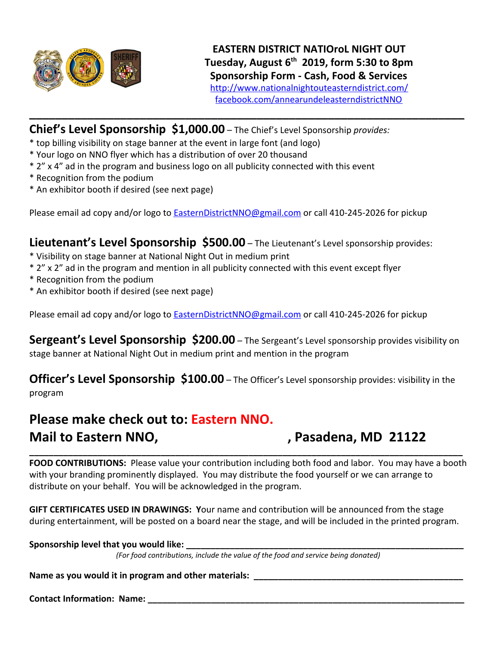

**Chief's Level Sponsorship \$1,000.00** – The Chief's Level Sponsorship *provides:*

- \* top billing visibility on stage banner at the event in large font (and logo)
- \* Your logo on NNO flyer which has a distribution of over 20 thousand
- \* 2" x 4" ad in the program and business logo on all publicity connected with this event
- \* Recognition from the podium
- \* An exhibitor booth if desired (see next page)

Please email ad copy and/or logo to [EasternDistrictNNO@gmail.com](mailto:EasternDistrictNNO@gmail.com) or call 410-245-2026 for pickup

**\_\_\_\_\_\_\_\_\_\_\_\_\_\_\_\_\_\_\_\_\_\_\_\_\_\_\_\_\_\_\_\_\_\_\_\_\_\_\_\_\_\_\_\_\_\_\_\_\_\_\_\_\_\_\_\_\_\_\_\_\_\_\_\_\_\_\_**

**Lieutenant's Level Sponsorship \$500.00** – The Lieutenant's Level sponsorship provides:

- \* Visibility on stage banner at National Night Out in medium print
- \* 2" x 2" ad in the program and mention in all publicity connected with this event except flyer
- \* Recognition from the podium
- \* An exhibitor booth if desired (see next page)

Please email ad copy and/or logo to [EasternDistrictNNO@gmail.com](mailto:EasternDistrictNNO@gmail.com) or call 410-245-2026 for pickup

**Sergeant's Level Sponsorship \$200.00** – The Sergeant's Level sponsorship provides visibility on stage banner at National Night Out in medium print and mention in the program

**Officer's Level Sponsorship \$100.00** – The Officer's Level sponsorship provides: visibility in the program

## **Please make check out to: Eastern NNO.** Mail to Eastern NNO, **Mail to Eastern NNO, MAIL 1998**, Pasadena, MD 21122

**\_\_\_\_\_\_\_\_\_\_\_\_\_\_\_\_\_\_\_\_\_\_\_\_\_\_\_\_\_\_\_\_\_\_\_\_\_\_\_\_\_\_\_\_\_\_\_\_\_\_\_\_\_\_\_\_\_\_\_\_\_\_\_\_\_\_\_\_\_\_\_\_\_\_\_\_\_\_\_\_\_\_\_\_\_\_\_\_\_ FOOD CONTRIBUTIONS:** Please value your contribution including both food and labor. You may have a booth with your branding prominently displayed. You may distribute the food yourself or we can arrange to distribute on your behalf. You will be acknowledged in the program.

**GIFT CERTIFICATES USED IN DRAWINGS: Y**our name and contribution will be announced from the stage during entertainment, will be posted on a board near the stage, and will be included in the printed program.

## Sponsorship level that you would like:

*(For food contributions, include the value of the food and service being donated)*

Name as you would it in program and other materials: \_\_\_\_\_\_\_\_\_\_\_\_\_\_\_\_\_\_\_\_\_\_\_\_\_\_\_\_\_

**Contact Information: Name:**